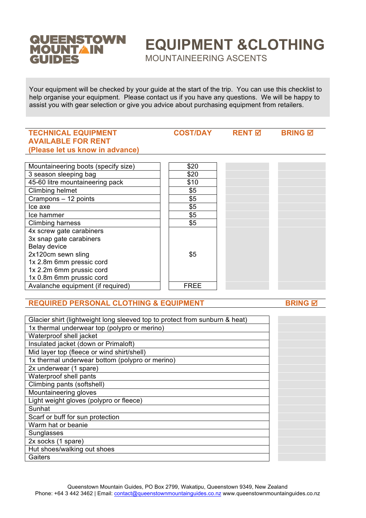# QUEENSTOWN<br>MOUNTAIN<br>GUIDES

# **EQUIPMENT &CLOTHING**

MOUNTAINEERING ASCENTS

Your equipment will be checked by your guide at the start of the trip. You can use this checklist to help organise your equipment. Please contact us if you have any questions. We will be happy to assist you with gear selection or give you advice about purchasing equipment from retailers.

## **TECHNICAL EQUIPMENT AVAILABLE FOR RENT (Please let us know in advance) COST/DAY RENT <b>W BRING W** Mountaineering boots (specify size) **\$20** 3 season sleeping bag \$20 45-60 litre mountaineering pack \$10 Climbing helmet \$5 Crampons – 12 points \$5  $\sqrt{55}$  $\lvert \cdot \rvert$  ice hammer  $\lvert \cdot \rvert$  \$5 Climbing harness \$5 4x screw gate carabiners 3x snap gate carabiners Belay device 2x120cm sewn sling 1x 2.8m 6mm pressic cord 1x 2.2m 6mm prussic cord 1x 0.8m 6mm prussic cord \$5 Avalanche equipment (if required) FREE

# **REQUIRED PERSONAL CLOTHING & EQUIPMENT BRING & BRING & BRING BRING**

| Glacier shirt (lightweight long sleeved top to protect from sunburn & heat) |  |
|-----------------------------------------------------------------------------|--|
| 1x thermal underwear top (polypro or merino)                                |  |
| Waterproof shell jacket                                                     |  |
| Insulated jacket (down or Primaloft)                                        |  |
| Mid layer top (fleece or wind shirt/shell)                                  |  |
| 1x thermal underwear bottom (polypro or merino)                             |  |
| 2x underwear (1 spare)                                                      |  |
| Waterproof shell pants                                                      |  |
| Climbing pants (softshell)                                                  |  |
| Mountaineering gloves                                                       |  |
| Light weight gloves (polypro or fleece)                                     |  |
| Sunhat                                                                      |  |
| Scarf or buff for sun protection                                            |  |
| Warm hat or beanie                                                          |  |
| Sunglasses                                                                  |  |
| 2x socks (1 spare)                                                          |  |
| Hut shoes/walking out shoes                                                 |  |
| Gaiters                                                                     |  |